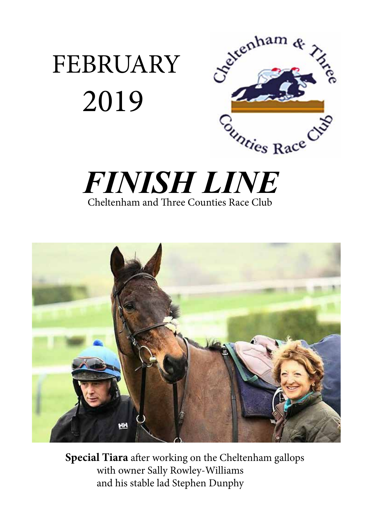







**Special Tiara** after working on the Cheltenham gallops with owner Sally Rowley-Williams and his stable lad Stephen Dunphy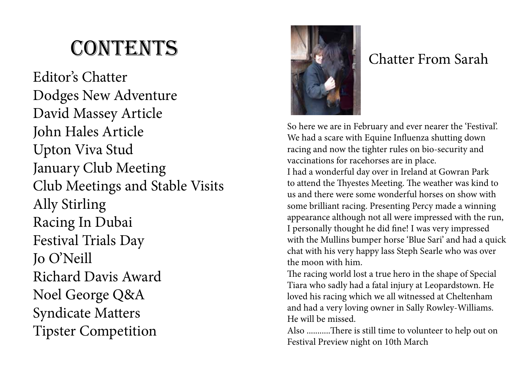# **CONTENTS**

Editor's Chatter Dodges New Adventure David Massey Article John Hales Article Upton Viva Stud January Club Meeting Club Meetings and Stable Visits Ally Stirling Racing In Dubai Festival Trials Day Jo O'Neill Richard Davis Award Noel George Q&A Syndicate Matters Tipster Competition



## Chatter From Sarah

So here we are in February and ever nearer the 'Festival'. We had a scare with Equine Influenza shutting down racing and now the tighter rules on bio-security and vaccinations for racehorses are in place.

I had a wonderful day over in Ireland at Gowran Park to attend the Thyestes Meeting. The weather was kind to us and there were some wonderful horses on show with some brilliant racing. Presenting Percy made a winning appearance although not all were impressed with the run, I personally thought he did fine! I was very impressed with the Mullins bumper horse 'Blue Sari' and had a quick chat with his very happy lass Steph Searle who was over the moon with him.

The racing world lost a true hero in the shape of Special Tiara who sadly had a fatal injury at Leopardstown. He loved his racing which we all witnessed at Cheltenham and had a very loving owner in Sally Rowley-Williams. He will be missed.

Also ...........There is still time to volunteer to help out on Festival Preview night on 10th March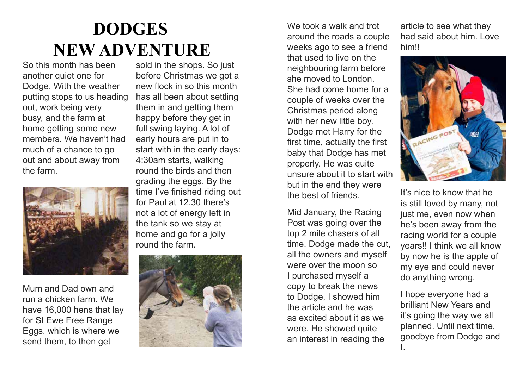# **DODGES NEW ADVENTURE**

So this month has been another quiet one for Dodge. With the weather putting stops to us heading out, work being very busy, and the farm at home getting some new members. We haven't had much of a chance to go out and about away from the farm.



Mum and Dad own and run a chicken farm. We have 16,000 hens that lay for St Ewe Free Range Eggs, which is where we send them, to then get

sold in the shops. So just before Christmas we got a new flock in so this month has all been about settling them in and getting them happy before they get in full swing laying. A lot of early hours are put in to start with in the early days: 4:30am starts, walking round the birds and then grading the eggs. By the time I've finished riding out for Paul at 12.30 there's not a lot of energy left in the tank so we stay at home and go for a jolly round the farm.



We took a walk and trot around the roads a couple weeks ago to see a friend that used to live on the neighbouring farm before she moved to London. She had come home for a couple of weeks over the Christmas period along with her new little boy. Dodge met Harry for the first time, actually the first baby that Dodge has met properly. He was quite unsure about it to start with but in the end they were the best of friends.

Mid January, the Racing Post was going over the top 2 mile chasers of all time. Dodge made the cut, all the owners and myself were over the moon so I purchased myself a copy to break the news to Dodge, I showed him the article and he was as excited about it as we were. He showed quite an interest in reading the

article to see what they had said about him. Love him!!



It's nice to know that he is still loved by many, not just me, even now when he's been away from the racing world for a couple years!! I think we all know by now he is the apple of my eye and could never do anything wrong.

I hope everyone had a brilliant New Years and it's going the way we all planned. Until next time, goodbye from Dodge and I.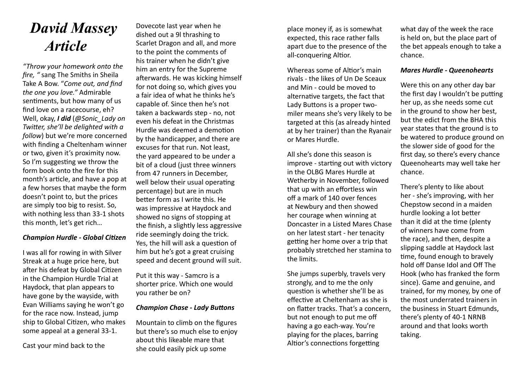## *David Massey Article*

*"Throw your homework onto the fire, "* sang The Smiths in Sheila Take A Bow. "*Come out, and find the one you love."* Admirable sentiments, but how many of us find love on a racecourse, eh? Well, okay, *I did* (*@Sonic\_Lady on Twitter, she'll be delighted with a follow*) but we're more concerned with finding a Cheltenham winner or two, given it's proximity now. So I'm suggesting we throw the form book onto the fire for this month's article, and have a pop at a few horses that maybe the form doesn't point to, but the prices are simply too big to resist. So, with nothing less than 33-1 shots this month, let's get rich…

#### *Champion Hurdle - Global Citizen*

I was all for rowing in with Silver Streak at a huge price here, but after his defeat by Global Citizen in the Champion Hurdle Trial at Haydock, that plan appears to have gone by the wayside, with Evan Williams saying he won't go for the race now. Instead, jump ship to Global Citizen, who makes some appeal at a general 33-1.

Cast your mind back to the

Dovecote last year when he dished out a 9l thrashing to Scarlet Dragon and all, and more to the point the comments of his trainer when he didn't give him an entry for the Supreme afterwards. He was kicking himself for not doing so, which gives you a fair idea of what he thinks he's capable of. Since then he's not taken a backwards step - no, not even his defeat in the Christmas Hurdle was deemed a demotion by the handicapper, and there are excuses for that run. Not least, the yard appeared to be under a bit of a cloud (just three winners from 47 runners in December, well below their usual operating percentage) but are in much better form as I write this. He was impressive at Haydock and showed no signs of stopping at the finish, a slightly less aggressive ride seemingly doing the trick. Yes, the hill will ask a question of him but he's got a great cruising speed and decent ground will suit.

Put it this way - Samcro is a shorter price. Which one would you rather be on?

### *Champion Chase - Lady Buttons*

Mountain to climb on the figures but there's so much else to enjoy about this likeable mare that she could easily pick up some

place money if, as is somewhat expected, this race rather falls apart due to the presence of the all-conquering Altior.

Whereas some of Altior's main rivals - the likes of Un De Sceaux and Min - could be moved to alternative targets, the fact that Lady Buttons is a proper twomiler means she's very likely to be targeted at this (as already hinted at by her trainer) than the Ryanair or Mares Hurdle.

All she's done this season is improve - starting out with victory in the OLBG Mares Hurdle at Wetherby in November, followed that up with an effortless win off a mark of 140 over fences at Newbury and then showed her courage when winning at Doncaster in a Listed Mares Chase on her latest start - her tenacity getting her home over a trip that probably stretched her stamina to the limits.

She jumps superbly, travels very strongly, and to me the only question is whether she'll be as effective at Cheltenham as she is on flatter tracks. That's a concern, but not enough to put me off having a go each-way. You're playing for the places, barring Altior's connections forgetting

what day of the week the race is held on, but the place part of the bet appeals enough to take a chance.

#### *Mares Hurdle - Queenohearts*

Were this on any other day bar the first day I wouldn't be putting her up, as she needs some cut in the ground to show her best, but the edict from the BHA this year states that the ground is to be watered to produce ground on the slower side of good for the first day, so there's every chance Queenohearts may well take her chance.

There's plenty to like about her - she's improving, with her Chepstow second in a maiden hurdle looking a lot better than it did at the time (plenty of winners have come from the race), and then, despite a slipping saddle at Haydock last time, found enough to bravely hold off Danse Idol and Off The Hook (who has franked the form since). Game and genuine, and trained, for my money, by one of the most underrated trainers in the business in Stuart Edmunds, there's plenty of 40-1 NRNB around and that looks worth taking.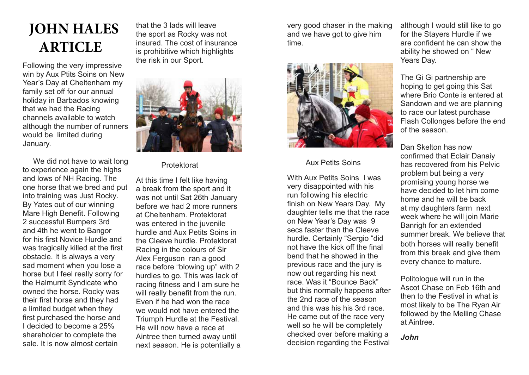## **JOHN HALES ARTICLE**

Following the very impressive win by Aux Ptits Soins on New Year's Day at Cheltenham my family set off for our annual holiday in Barbados knowing that we had the Racing channels available to watch although the number of runners would be limited during January.

We did not have to wait long to experience again the highs and lows of NH Racing. The one horse that we bred and put into training was Just Rocky. By Yates out of our winning Mare High Benefit. Following 2 successful Bumpers 3rd and 4th he went to Bangor for his first Novice Hurdle and was tragically killed at the first obstacle. It is always a very sad moment when you lose a horse but I feel really sorry for the Halmurrit Syndicate who owned the horse. Rocky was their first horse and they had a limited budget when they first purchased the horse and I decided to become a 25% shareholder to complete the sale. It is now almost certain

that the 3 lads will leave the sport as Rocky was not insured. The cost of insurance is prohibitive which highlights the risk in our Sport.



Protektorat

At this time I felt like having a break from the sport and it was not until Sat 26th January before we had 2 more runners at Cheltenham. Protektorat was entered in the juvenile hurdle and Aux Petits Soins in the Cleeve hurdle. Protektorat Racing in the colours of Sir Alex Ferguson ran a good race before "blowing up" with 2 hurdles to go. This was lack of racing fitness and I am sure he will really benefit from the run. Even if he had won the race we would not have entered the Triumph Hurdle at the Festival. He will now have a race at Aintree then turned away until next season. He is potentially a very good chaser in the making and we have got to give him time.



### Aux Petits Soins

With Aux Petits Soins I was very disappointed with his run following his electric finish on New Years Day. My daughter tells me that the race on New Year's Day was 9 secs faster than the Cleeve hurdle. Certainly "Sergio "did not have the kick off the final bend that he showed in the previous race and the jury is now out regarding his next race. Was it "Bounce Back" but this normally happens after the 2nd race of the season and this was his his 3rd race. He came out of the race very well so he will be completely checked over before making a decision regarding the Festival

although I would still like to go for the Stayers Hurdle if we are confident he can show the ability he showed on " New Years Day.

The Gi Gi partnership are hoping to get going this Sat where Brio Conte is entered at Sandown and we are planning to race our latest purchase Flash Collonges before the end of the season.

Dan Skelton has now confirmed that Eclair Danaiy has recovered from his Pelvic problem but being a very promising young horse we have decided to let him come home and he will be back at my daughters farm next week where he will join Marie Banrigh for an extended summer break. We believe that both horses will really benefit from this break and give them every chance to mature.

Politologue will run in the Ascot Chase on Feb 16th and then to the Festival in what is most likely to be The Ryan Air followed by the Melling Chase at Aintree.

*John*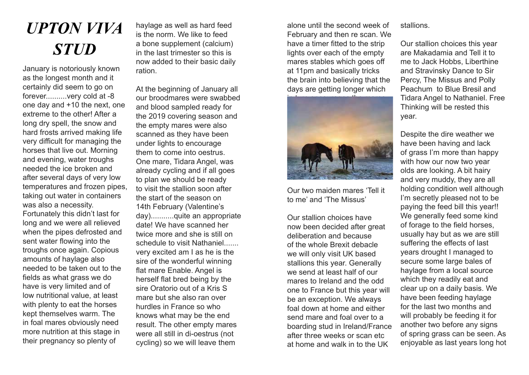# *UPTON VIVA STUD*

January is notoriously known as the longest month and it certainly did seem to go on forever..........very cold at -8 one day and +10 the next, one extreme to the other! After a long dry spell, the snow and hard frosts arrived making life very difficult for managing the horses that live out. Morning and evening, water troughs needed the ice broken and after several days of very low temperatures and frozen pipes, taking out water in containers was also a necessity. Fortunately this didn't last for long and we were all relieved when the pipes defrosted and sent water flowing into the troughs once again. Copious amounts of haylage also needed to be taken out to the fields as what grass we do have is very limited and of low nutritional value, at least with plenty to eat the horses kept themselves warm. The in foal mares obviously need more nutrition at this stage in their pregnancy so plenty of

haylage as well as hard feed is the norm. We like to feed a bone supplement (calcium) in the last trimester so this is now added to their basic daily ration.

At the beginning of January all our broodmares were swabbed and blood sampled ready for the 2019 covering season and the empty mares were also scanned as they have been under lights to encourage them to come into oestrus. One mare, Tidara Angel, was already cycling and if all goes to plan we should be ready to visit the stallion soon after the start of the season on 14th February (Valentine's day)...........quite an appropriate date! We have scanned her twice more and she is still on schedule to visit Nathaniel....... very excited am I as he is the sire of the wonderful winning flat mare Enable. Angel is herself flat bred being by the sire Oratorio out of a Kris S mare but she also ran over hurdles in France so who knows what may be the end result. The other empty mares were all still in di-oestrus (not cycling) so we will leave them

alone until the second week of February and then re scan. We have a timer fitted to the strip lights over each of the empty mares stables which goes off at 11pm and basically tricks the brain into believing that the days are getting longer which



Our two maiden mares 'Tell it to me' and 'The Missus'

Our stallion choices have now been decided after great deliberation and because of the whole Brexit debacle we will only visit UK based stallions this year. Generally we send at least half of our mares to Ireland and the odd one to France but this year will be an exception. We always foal down at home and either send mare and foal over to a boarding stud in Ireland/France after three weeks or scan etc at home and walk in to the UK

stallions.

Our stallion choices this year are Makadamia and Tell it to me to Jack Hobbs, Liberthine and Stravinsky Dance to Sir Percy, The Missus and Polly Peachum to Blue Bresil and Tidara Angel to Nathaniel. Free Thinking will be rested this year.

Despite the dire weather we have been having and lack of grass I'm more than happy with how our now two year olds are looking. A bit hairy and very muddy, they are all holding condition well although I'm secretly pleased not to be paying the feed bill this year!! We generally feed some kind of forage to the field horses, usually hay but as we are still suffering the effects of last years drought I managed to secure some large bales of haylage from a local source which they readily eat and clear up on a daily basis. We have been feeding haylage for the last two months and will probably be feeding it for another two before any signs of spring grass can be seen. As enjoyable as last years long hot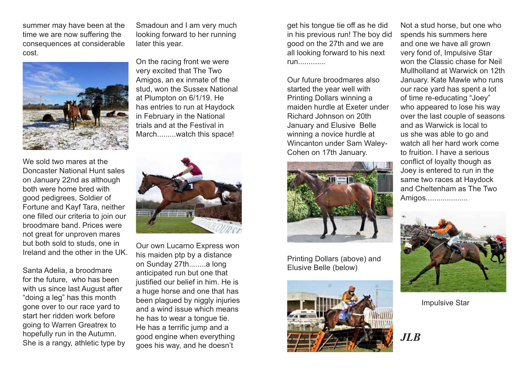summer may have been at the time we are now suffering the consequences at considerable cost.



We sold two mares at the Doncaster National Hunt sales on January 22nd as although both were home bred with good pedigrees, Soldier of Fortune and Kayf Tara, neither one filled our criteria to join our broodmare band. Prices were not great for unproven mares but both sold to studs, one in Ireland and the other in the UK.

Santa Adelia, a broodmare for the future, who has been with us since last August after "doing a leg" has this month gone over to our race yard to start her ridden work before going to Warren Greatrex to hopefully run in the Autumn. She is a rangy, athletic type by Smadoun and I am very much looking forward to her running later this year.

On the racing front we were very excited that The Two Amigos, an ex inmate of the stud, won the Sussex National at Plumpton on 6/1/19. He has entries to run at Haydock in February in the National trials and at the Festival in March.........watch this space!



Our own Lucarno Express won his maiden ptp by a distance on Sunday 27th........a long anticipated run but one that justified our belief in him. He is a huge horse and one that has been plagued by niggly injuries and a wind issue which means he has to wear a tongue tie. He has a terrific jump and a good engine when everything goes his way, and he doesn't

get his tongue tie off as he did in his previous run! The boy did good on the 27th and we are all looking forward to his next run.............

Our future broodmares also started the year well with Printing Dollars winning a maiden hurdle at Exeter under Richard Johnson on 20th January and Elusive Belle winning a novice hurdle at Wincanton under Sam Waley-Cohen on 17th January.



Printing Dollars (above) and Elusive Belle (below)



Not a stud horse, but one who spends his summers here and one we have all grown very fond of, Impulsive Star won the Classic chase for Neil Mullholland at Warwick on 12th January. Kate Mawle who runs our race yard has spent a lot of time re-educating "Joey" who appeared to lose his way over the last couple of seasons and as Warwick is local to us she was able to go and watch all her hard work come to fruition. I have a serious conflict of loyalty though as Joey is entered to run in the same two races at Haydock and Cheltenham as The Two Amigos....................



Impulsive Star

*JLB*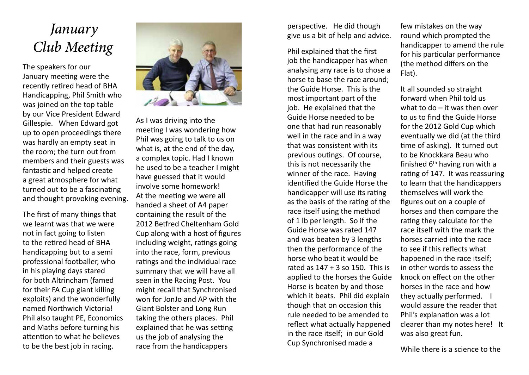## *January Club Meeting*

The speakers for our January meeting were the recently retired head of BHA Handicapping, Phil Smith who was joined on the top table by our Vice President Edward Gillespie. When Edward got up to open proceedings there was hardly an empty seat in the room; the turn out from members and their guests was fantastic and helped create a great atmosphere for what turned out to be a fascinating and thought provoking evening.

The first of many things that we learnt was that we were not in fact going to listen to the retired head of BHA handicapping but to a semi professional footballer, who in his playing days stared for both Altrincham (famed for their FA Cup giant killing exploits) and the wonderfully named Northwich Victoria! Phil also taught PE, Economics and Maths before turning his attention to what he believes to be the best job in racing.



As I was driving into the meeting I was wondering how Phil was going to talk to us on what is, at the end of the day, a complex topic. Had I known he used to be a teacher I might have guessed that it would involve some homework! At the meeting we were all handed a sheet of A4 paper containing the result of the 2012 Betfred Cheltenham Gold Cup along with a host of figures including weight, ratings going into the race, form, previous ratings and the individual race summary that we will have all seen in the Racing Post. You might recall that Synchronised won for JonJo and AP with the Giant Bolster and Long Run taking the others places. Phil explained that he was setting us the job of analysing the race from the handicappers

perspective. He did though give us a bit of help and advice.

Phil explained that the first job the handicapper has when analysing any race is to chose a horse to base the race around; the Guide Horse. This is the most important part of the job. He explained that the Guide Horse needed to be one that had run reasonably well in the race and in a way that was consistent with its previous outings. Of course, this is not necessarily the winner of the race. Having identified the Guide Horse the handicapper will use its rating as the basis of the rating of the race itself using the method of 1 lb per length. So if the Guide Horse was rated 147 and was beaten by 3 lengths then the performance of the horse who beat it would be rated as  $147 + 3$  so 150. This is applied to the horses the Guide Horse is beaten by and those which it beats. Phil did explain though that on occasion this rule needed to be amended to reflect what actually happened in the race itself; in our Gold Cup Synchronised made a

few mistakes on the way round which prompted the handicapper to amend the rule for his particular performance (the method differs on the Flat).

It all sounded so straight forward when Phil told us what to do – it was then over to us to find the Guide Horse for the 2012 Gold Cup which eventually we did (at the third time of asking). It turned out to be Knockkara Beau who finished  $6<sup>th</sup>$  having run with a rating of 147. It was reassuring to learn that the handicappers themselves will work the figures out on a couple of horses and then compare the rating they calculate for the race itself with the mark the horses carried into the race to see if this reflects what happened in the race itself; in other words to assess the knock on effect on the other horses in the race and how they actually performed. I would assure the reader that Phil's explanation was a lot clearer than my notes here! It was also great fun.

While there is a science to the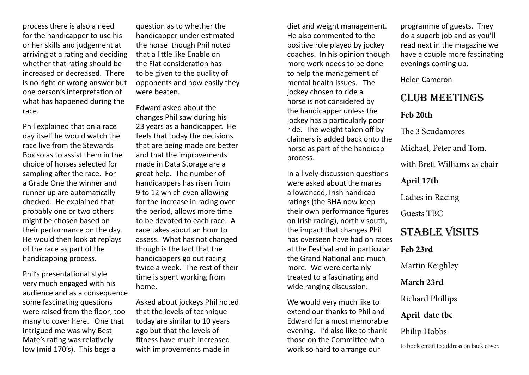process there is also a need for the handicapper to use his or her skills and judgement at arriving at a rating and deciding whether that rating should be increased or decreased. There is no right or wrong answer but one person's interpretation of what has happened during the race.

Phil explained that on a race day itself he would watch the race live from the Stewards Box so as to assist them in the choice of horses selected for sampling after the race. For a Grade One the winner and runner up are automatically checked. He explained that probably one or two others might be chosen based on their performance on the day. He would then look at replays of the race as part of the handicapping process.

Phil's presentational style very much engaged with his audience and as a consequence some fascinating questions were raised from the floor; too many to cover here. One that intrigued me was why Best Mate's rating was relatively low (mid 170's). This begs a

question as to whether the handicapper under estimated the horse though Phil noted that a little like Enable on the Flat consideration has to be given to the quality of opponents and how easily they were beaten.

Edward asked about the changes Phil saw during his 23 years as a handicapper. He feels that today the decisions that are being made are better and that the improvements made in Data Storage are a great help. The number of handicappers has risen from 9 to 12 which even allowing for the increase in racing over the period, allows more time to be devoted to each race. A race takes about an hour to assess. What has not changed though is the fact that the handicappers go out racing twice a week. The rest of their time is spent working from home.

Asked about jockeys Phil noted that the levels of technique today are similar to 10 years ago but that the levels of fitness have much increased with improvements made in

diet and weight management. He also commented to the positive role played by jockey coaches. In his opinion though more work needs to be done to help the management of mental health issues. The jockey chosen to ride a horse is not considered by the handicapper unless the jockey has a particularly poor ride. The weight taken off by claimers is added back onto the horse as part of the handicap process.

In a lively discussion questions were asked about the mares allowanced, Irish handicap ratings (the BHA now keep their own performance figures on Irish racing), north v south, the impact that changes Phil has overseen have had on races at the Festival and in particular the Grand National and much more. We were certainly treated to a fascinating and wide ranging discussion.

We would very much like to extend our thanks to Phil and Edward for a most memorable evening. I'd also like to thank those on the Committee who work so hard to arrange our

programme of guests. They do a superb job and as you'll read next in the magazine we have a couple more fascinating evenings coming up.

Helen Cameron

## Club Meetings

### **Feb 20th**

The 3 Scudamores

Michael, Peter and Tom.

with Brett Williams as chair

**April 17th**

Ladies in Racing

Guests TBC

## STABLE VISITS

**Feb 23rd**

Martin Keighley

**March 23rd** 

Richard Phillips

**April date tbc**

Philip Hobbs

to book email to address on back cover.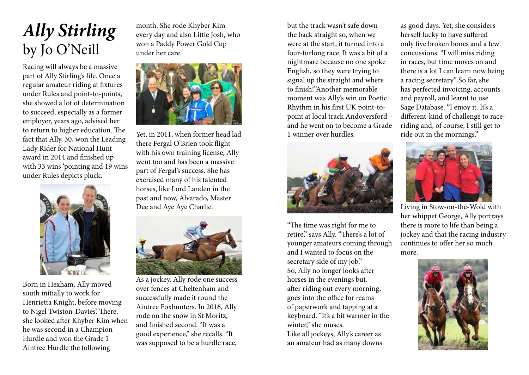# *Ally Stirling* by Jo O'Neill

Racing will always be a massive part of Ally Stirling's life. Once a regular amateur riding at fixtures under Rules and point-to-points, she showed a lot of determination to succeed, especially as a former employer, years ago, advised her to return to higher education. The fact that Ally, 30, won the Leading Lady Rider for National Hunt award in 2014 and finished up with 33 wins 'pointing and 19 wins under Rules depicts pluck.



Born in Hexham, Ally moved south initially to work for Henrietta Knight, before moving to Nigel Twiston-Davies'. There, she looked after Khyber Kim when he was second in a Champion Hurdle and won the Grade 1 Aintree Hurdle the following

month. She rode Khyber Kim every day and also Little Josh, who won a Paddy Power Gold Cup under her care.



Yet, in 2011, when former head lad there Fergal O'Brien took flight with his own training license, Ally went too and has been a massive part of Fergal's success. She has exercised many of his talented horses, like Lord Landen in the past and now, Alvarado, Master Dee and Aye Aye Charlie.



As a jockey, Ally rode one success over fences at Cheltenham and successfully made it round the Aintree Foxhunters. In 2016, Ally rode on the snow in St Moritz, and finished second. "It was a good experience," she recalls. "It was supposed to be a hurdle race,

but the track wasn't safe down the back straight so, when we were at the start, it turned into a four-furlong race. It was a bit of a nightmare because no one spoke English, so they were trying to signal up the straight and where to finish!"Another memorable moment was Ally's win on Poetic Rhythm in his first UK point-topoint at local track Andoversford – and he went on to become a Grade 1 winner over hurdles.



"The time was right for me to retire," says Ally. "There's a lot of younger amateurs coming through and I wanted to focus on the secretary side of my job." So, Ally no longer looks after horses in the evenings but, after riding out every morning, goes into the office for reams of paperwork and tapping at a keyboard. "It's a bit warmer in the winter," she muses. Like all jockeys, Ally's career as an amateur had as many downs

as good days. Yet, she considers herself lucky to have suffered only five broken bones and a few concussions. "I will miss riding in races, but time moves on and there is a lot I can learn now being a racing secretary." So far, she has perfected invoicing, accounts and payroll, and learnt to use Sage Database. "I enjoy it. It's a different-kind of challenge to raceriding and, of course, I still get to ride out in the mornings."



Living in Stow-on-the-Wold with her whippet George, Ally portrays there is more to life than being a jockey and that the racing industry continues to offer her so much more.

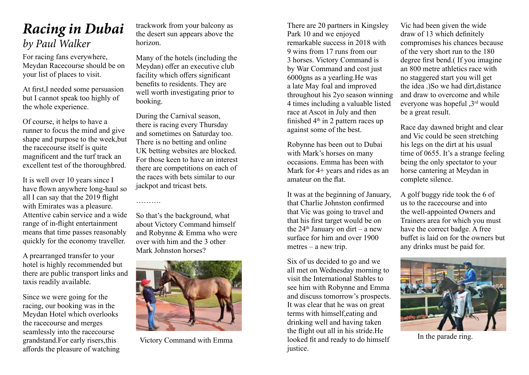## *Racing in Dubai by Paul Walker*

For racing fans everywhere, Meydan Racecourse should be on your list of places to visit.

At first,I needed some persuasion but I cannot speak too highly of the whole experience.

Of course, it helps to have a runner to focus the mind and give shape and purpose to the week,but the racecourse itself is quite magnificent and the turf track an excellent test of the thoroughbred.

It is well over 10 years since I have flown anywhere long-haul so all I can say that the 2019 flight with Emirates was a pleasure. Attentive cabin service and a wide range of in-flight entertainment means that time passes reasonably quickly for the economy traveller.

A prearranged transfer to your hotel is highly recommended but there are public transport links and taxis readily available.

Since we were going for the racing, our booking was in the Meydan Hotel which overlooks the racecourse and merges seamlessly into the racecourse grandstand.For early risers,this affords the pleasure of watching trackwork from your balcony as the desert sun appears above the horizon.

Many of the hotels (including the Meydan) offer an executive club facility which offers significant benefits to residents. They are well worth investigating prior to booking.

During the Carnival season, there is racing every Thursday and sometimes on Saturday too. There is no betting and online UK betting websites are blocked. For those keen to have an interest there are competitions on each of the races with bets similar to our jackpot and tricast bets.

…………

So that's the background, what about Victory Command himself and Robynne & Emma who were over with him and the 3 other Mark Johnston horses?



Victory Command with Emma

There are 20 partners in Kingsley Park 10 and we enjoyed remarkable success in 2018 with 9 wins from 17 runs from our 3 horses. Victory Command is by War Command and cost just 6000gns as a yearling.He was a late May foal and improved throughout his 2yo season winning 4 times including a valuable listed race at Ascot in July and then finished  $4<sup>th</sup>$  in 2 pattern races up against some of the best.

Robynne has been out to Dubai with Mark's horses on many occasions. Emma has been with Mark for 4+ years and rides as an amateur on the flat.

It was at the beginning of January, that Charlie Johnston confirmed that Vic was going to travel and that his first target would be on the  $24<sup>th</sup>$  January on dirt – a new surface for him and over 1900 metres – a new trip.

Six of us decided to go and we all met on Wednesday morning to visit the International Stables to see him with Robynne and Emma and discuss tomorrow's prospects. It was clear that he was on great terms with himself,eating and drinking well and having taken the flight out all in his stride.He looked fit and ready to do himself justice.

Vic had been given the wide draw of 13 which definitely compromises his chances because of the very short run to the 180 degree first bend.( If you imagine an 800 metre athletics race with no staggered start you will get the idea .)So we had dirt,distance and draw to overcome and while everyone was hopeful ,3rd would be a great result.

Race day dawned bright and clear and Vic could be seen stretching his legs on the dirt at his usual time of 0655. It's a strange feeling being the only spectator to your horse cantering at Meydan in complete silence.

A golf buggy ride took the 6 of us to the racecourse and into the well-appointed Owners and Trainers area for which you must have the correct badge. A free buffet is laid on for the owners but any drinks must be paid for.



In the parade ring.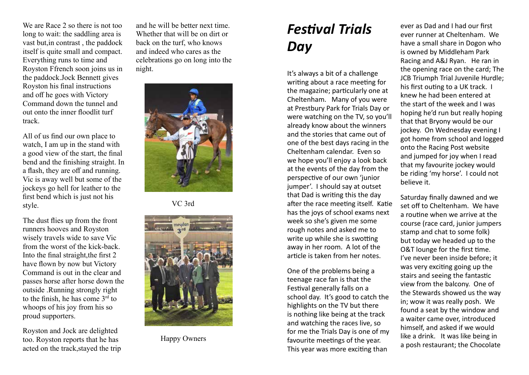We are Race 2 so there is not too long to wait: the saddling area is vast but,in contrast , the paddock itself is quite small and compact. Everything runs to time and Royston Ffrench soon joins us in the paddock.Jock Bennett gives Royston his final instructions and off he goes with Victory Command down the tunnel and out onto the inner floodlit turf track.

All of us find our own place to watch, I am up in the stand with a good view of the start, the final bend and the finishing straight. In a flash, they are off and running. Vic is away well but some of the jockeys go hell for leather to the first bend which is just not his style.

The dust flies up from the front runners hooves and Royston wisely travels wide to save Vic from the worst of the kick-back. Into the final straight,the first 2 have flown by now but Victory Command is out in the clear and passes horse after horse down the outside .Running strongly right to the finish, he has come 3rd to whoops of his joy from his so proud supporters.

Royston and Jock are delighted too. Royston reports that he has acted on the track,stayed the trip

and he will be better next time. Whether that will be on dirt or back on the turf, who knows and indeed who cares as the celebrations go on long into the night.



VC 3rd



Happy Owners

## *Festival Trials Day*

It's always a bit of a challenge writing about a race meeting for the magazine; particularly one at Cheltenham. Many of you were at Prestbury Park for Trials Day or were watching on the TV, so you'll already know about the winners and the stories that came out of one of the best days racing in the Cheltenham calendar. Even so we hope you'll enjoy a look back at the events of the day from the perspective of our own 'junior jumper'. I should say at outset that Dad is writing this the day after the race meeting itself. Katie has the joys of school exams next week so she's given me some rough notes and asked me to write up while she is swotting away in her room. A lot of the article is taken from her notes.

One of the problems being a teenage race fan is that the Festival generally falls on a school day. It's good to catch the highlights on the TV but there is nothing like being at the track and watching the races live, so for me the Trials Day is one of my favourite meetings of the year. This year was more exciting than

ever as Dad and I had our first ever runner at Cheltenham. We have a small share in Dogon who is owned by Middleham Park Racing and A&J Ryan. He ran in the opening race on the card; The JCB Triumph Trial Juvenile Hurdle; his first outing to a UK track. I knew he had been entered at the start of the week and I was hoping he'd run but really hoping that that Bryony would be our jockey. On Wednesday evening I got home from school and logged onto the Racing Post website and jumped for joy when I read that my favourite jockey would be riding 'my horse'. I could not believe it.

Saturday finally dawned and we set off to Cheltenham. We have a routine when we arrive at the course (race card, junior jumpers stamp and chat to some folk) but today we headed up to the O&T lounge for the first time. I've never been inside before; it was very exciting going up the stairs and seeing the fantastic view from the balcony. One of the Stewards showed us the way in; wow it was really posh. We found a seat by the window and a waiter came over, introduced himself, and asked if we would like a drink. It was like being in a posh restaurant; the Chocolate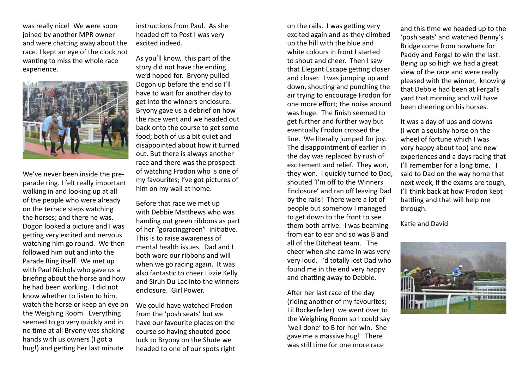was really nice! We were soon joined by another MPR owner and were chatting away about the race. I kept an eye of the clock not wanting to miss the whole race experience.



We've never been inside the preparade ring. I felt really important walking in and looking up at all of the people who were already on the terrace steps watching the horses; and there he was. Dogon looked a picture and I was getting very excited and nervous watching him go round. We then followed him out and into the Parade Ring itself. We met up with Paul Nichols who gave us a briefing about the horse and how he had been working. I did not know whether to listen to him, watch the horse or keep an eye on the Weighing Room. Everything seemed to go very quickly and in no time at all Bryony was shaking hands with us owners (I got a hug!) and getting her last minute

instructions from Paul. As she headed off to Post I was very excited indeed.

As you'll know, this part of the story did not have the ending we'd hoped for. Bryony pulled Dogon up before the end so I'll have to wait for another day to get into the winners enclosure. Bryony gave us a debrief on how the race went and we headed out back onto the course to get some food; both of us a bit quiet and disappointed about how it turned out. But there is always another race and there was the prospect of watching Frodon who is one of my favourites; I've got pictures of him on my wall at home.

Before that race we met up with Debbie Matthews who was handing out green ribbons as part of her "goracinggreen" initiative. This is to raise awareness of mental health issues. Dad and I both wore our ribbons and will when we go racing again. It was also fantastic to cheer Lizzie Kelly and Siruh Du Lac into the winners enclosure. Girl Power.

We could have watched Frodon from the 'posh seats' but we have our favourite places on the course so having shouted good luck to Bryony on the Shute we headed to one of our spots right on the rails. I was getting very excited again and as they climbed up the hill with the blue and white colours in front I started to shout and cheer. Then I saw that Elegant Escape getting closer and closer. I was jumping up and down, shouting and punching the air trying to encourage Frodon for one more effort; the noise around was huge. The finish seemed to get further and further way but eventually Frodon crossed the line. We literally jumped for joy. The disappointment of earlier in the day was replaced by rush of excitement and relief. They won, they won. I quickly turned to Dad, shouted 'I'm off to the Winners Enclosure' and ran off leaving Dad by the rails! There were a lot of people but somehow I managed to get down to the front to see them both arrive. I was beaming from ear to ear and so was B and all of the Ditcheat team. The cheer when she came in was very very loud. I'd totally lost Dad who found me in the end very happy and chatting away to Debbie.

After her last race of the day (riding another of my favourites; Lil Rockerfeller) we went over to the Weighing Room so I could say 'well done' to B for her win. She gave me a massive hug! There was still time for one more race

and this time we headed up to the 'posh seats' and watched Benny's Bridge come from nowhere for Paddy and Fergal to win the last. Being up so high we had a great view of the race and were really pleased with the winner, knowing that Debbie had been at Fergal's yard that morning and will have been cheering on his horses.

It was a day of ups and downs (I won a squishy horse on the wheel of fortune which I was very happy about too) and new experiences and a days racing that I'll remember for a long time. I said to Dad on the way home that next week, if the exams are tough, I'll think back at how Frodon kept battling and that will help me through.

Katie and David

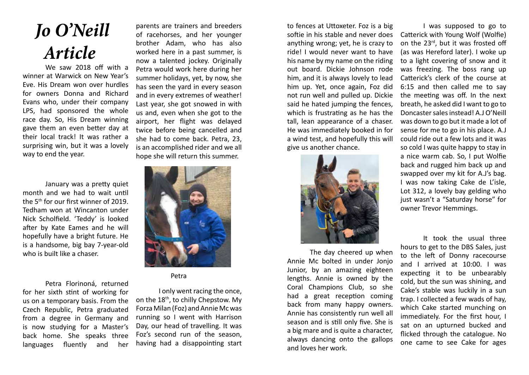# *Jo O'Neill Article*

We saw 2018 off with a winner at Warwick on New Year's Eve. His Dream won over hurdles for owners Donna and Richard Evans who, under their company LPS, had sponsored the whole race day. So, His Dream winning gave them an even better day at their local track! It was rather a surprising win, but it was a lovely way to end the year.

January was a pretty quiet month and we had to wait until the 5th for our first winner of 2019. Tedham won at Wincanton under Nick Scholfield. 'Teddy' is looked after by Kate Eames and he will hopefully have a bright future. He is a handsome, big bay 7-year-old who is built like a chaser.

Petra Florinoná, returned for her sixth stint of working for us on a temporary basis. From the Czech Republic, Petra graduated from a degree in Germany and is now studying for a Master's back home. She speaks three languages fluently and her parents are trainers and breeders of racehorses, and her younger brother Adam, who has also worked here in a past summer, is now a talented jockey. Originally Petra would work here during her summer holidays, yet, by now, she has seen the yard in every season and in every extremes of weather! Last year, she got snowed in with us and, even when she got to the airport, her flight was delayed twice before being cancelled and she had to come back. Petra, 23, is an accomplished rider and we all hope she will return this summer.



### Petra

I only went racing the once, on the 18<sup>th</sup>, to chilly Chepstow. My Forza Milan (Foz) and Annie Mc was running so I went with Harrison Day, our head of travelling. It was Foz's second run of the season, having had a disappointing start to fences at Uttoxeter. Foz is a big softie in his stable and never does anything wrong; yet, he is crazy to ride! I would never want to have his name by my name on the riding out board. Dickie Johnson rode him, and it is always lovely to lead him up. Yet, once again, Foz did not run well and pulled up. Dickie said he hated jumping the fences, which is frustrating as he has the tall, lean appearance of a chaser. He was immediately booked in for a wind test, and hopefully this will give us another chance.



The day cheered up when Annie Mc bolted in under Jonjo Junior, by an amazing eighteen lengths. Annie is owned by the Coral Champions Club, so she had a great reception coming back from many happy owners. Annie has consistently run well all season and is still only five. She is a big mare and is quite a character, always dancing onto the gallops and loves her work.

I was supposed to go to Catterick with Young Wolf (Wolfie) on the 23rd, but it was frosted off (as was Hereford later). I woke up to a light covering of snow and it was freezing. The boss rang up Catterick's clerk of the course at 6:15 and then called me to say the meeting was off. In the next breath, he asked did I want to go to Doncaster sales instead! A.J O'Neill was down to go but it made a lot of sense for me to go in his place. A.J could ride out a few lots and it was so cold I was quite happy to stay in a nice warm cab. So, I put Wolfie back and rugged him back up and swapped over my kit for A.J's bag. I was now taking Cake de L'isle, Lot 312, a lovely bay gelding who just wasn't a "Saturday horse" for owner Trevor Hemmings.

It took the usual three hours to get to the DBS Sales, just to the left of Donny racecourse and I arrived at 10:00. I was expecting it to be unbearably cold, but the sun was shining, and Cake's stable was luckily in a sun trap. I collected a few wads of hay, which Cake started munching on immediately. For the first hour, I sat on an upturned bucked and flicked through the catalogue. No one came to see Cake for ages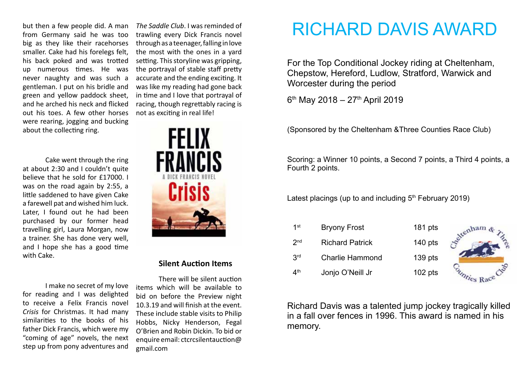but then a few people did. A man from Germany said he was too big as they like their racehorses smaller. Cake had his forelegs felt, his back poked and was trotted up numerous times. He was never naughty and was such a gentleman. I put on his bridle and green and yellow paddock sheet, and he arched his neck and flicked out his toes. A few other horses were rearing, jogging and bucking about the collecting ring.

Cake went through the ring at about 2:30 and I couldn't quite believe that he sold for £17000. I was on the road again by 2:55, a little saddened to have given Cake a farewell pat and wished him luck. Later, I found out he had been purchased by our former head travelling girl, Laura Morgan, now a trainer. She has done very well, and I hope she has a good time with Cake.

I make no secret of my love for reading and I was delighted to receive a Felix Francis novel *Crisis* for Christmas. It had many similarities to the books of his father Dick Francis, which were my "coming of age" novels, the next step up from pony adventures and

*The Saddle Club*. I was reminded of trawling every Dick Francis novel through as a teenager, falling in love the most with the ones in a yard setting. This storyline was gripping, the portrayal of stable staff pretty accurate and the ending exciting. It was like my reading had gone back in time and I love that portrayal of racing, though regrettably racing is not as exciting in real life!



### **Silent Auction Items**

There will be silent auction items which will be available to bid on before the Preview night 10.3.19 and will finish at the event. These include stable visits to Philip Hobbs, Nicky Henderson, Fegal O'Brien and Robin Dickin. To bid or enquire email: ctcrcsilentauction@ gmail.com

# RICHARD DAVIS AWARD

For the Top Conditional Jockey riding at Cheltenham, Chepstow, Hereford, Ludlow, Stratford, Warwick and Worcester during the period

 $6<sup>th</sup>$  May 2018 – 27<sup>th</sup> April 2019

(Sponsored by the Cheltenham &Three Counties Race Club)

Scoring: a Winner 10 points, a Second 7 points, a Third 4 points, a Fourth 2 points.

Latest placings (up to and including  $5<sup>th</sup>$  February 2019)

| $1$ st                         | <b>Bryony Frost</b>    | 181 pts   |  |
|--------------------------------|------------------------|-----------|--|
| 2 <sub>nd</sub>                | <b>Richard Patrick</b> | $140$ pts |  |
| 3 <sup>rd</sup>                | <b>Charlie Hammond</b> | $139$ pts |  |
| $\mathbf{\Lambda}^{\text{th}}$ | Jonjo O'Neill Jr       | $102$ pts |  |

Richard Davis was a talented jump jockey tragically killed in a fall over fences in 1996. This award is named in his memory.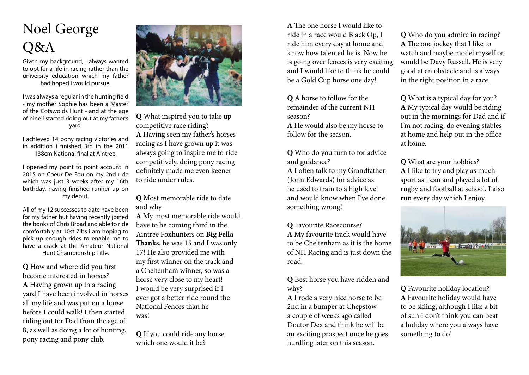# Noel George Q&A

Given my background, i always wanted to opt for a life in racing rather than the university education which my father had hoped i would pursue.

I was always a regular in the hunting field - my mother Sophie has been a Master of the Cotswolds Hunt - and at the age of nine i started riding out at my father's yard.

I achieved 14 pony racing victories and in addition i finished 3rd in the 2011 138cm National final at Aintree.

I opened my point to point account in 2015 on Coeur De Fou on my 2nd ride which was just 3 weeks after my 16th birthday, having finished runner up on my debut.

All of my 12 successes to date have been for my father but having recently joined the books of Chris Broad and able to ride comfortably at 10st 7lbs i am hoping to pick up enough rides to enable me to have a crack at the Amateur National Hunt Championship Title.

**Q** How and where did you first become interested in horses? **A** Having grown up in a racing yard I have been involved in horses all my life and was put on a horse before I could walk! I then started riding out for Dad from the age of 8, as well as doing a lot of hunting, pony racing and pony club.



**Q** What inspired you to take up competitive race riding? **A** Having seen my father's horses racing as I have grown up it was always going to inspire me to ride competitively, doing pony racing definitely made me even keener to ride under rules.

**Q** Most memorable ride to date and why

**A** My most memorable ride would have to be coming third in the Aintree Foxhunters on **Big Fella Thanks**, he was 15 and I was only 17! He also provided me with my first winner on the track and a Cheltenham winner, so was a horse very close to my heart! I would be very surprised if I ever got a better ride round the National Fences than he was!

**Q** If you could ride any horse which one would it be?

**A** The one horse I would like to ride in a race would Black Op, I ride him every day at home and know how talented he is. Now he is going over fences is very exciting and I would like to think he could be a Gold Cup horse one day!

**Q** A horse to follow for the remainder of the current NH season?

**A** He would also be my horse to follow for the season.

**Q** Who do you turn to for advice and guidance? **A** I often talk to my Grandfather (John Edwards) for advice as he used to train to a high level and would know when I've done something wrong!

**Q** Favourite Racecourse? **A** My favourite track would have to be Cheltenham as it is the home of NH Racing and is just down the road.

**Q** Best horse you have ridden and why?

**A** I rode a very nice horse to be 2nd in a bumper at Chepstow a couple of weeks ago called Doctor Dex and think he will be an exciting prospect once he goes hurdling later on this season.

**Q** Who do you admire in racing? **A** The one jockey that I like to watch and maybe model myself on would be Davy Russell. He is very good at an obstacle and is always in the right position in a race.

**Q** What is a typical day for you? **A** My typical day would be riding out in the mornings for Dad and if I'm not racing, do evening stables at home and help out in the office at home.

**Q** What are your hobbies? **A** I like to try and play as much sport as I can and played a lot of rugby and football at school. I also run every day which I enjoy.



**Q** Favourite holiday location? **A** Favourite holiday would have to be skiing, although I like a bit of sun I don't think you can beat a holiday where you always have something to do!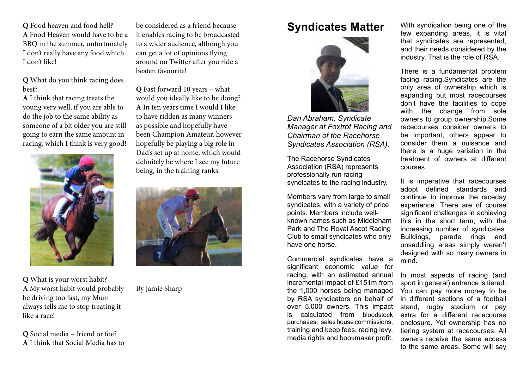**Q** Food heaven and food hell? **A** Food Heaven would have to be a BBQ in the summer, unfortunately I don't really have any food which I don't like!

### **Q** What do you think racing does best?

**A** I think that racing treats the young very well, if you are able to do the job to the same ability as someone of a bit older you are still going to earn the same amount in racing, which I think is very good!



**Q** What is your worst habit? **A** My worst habit would probably be driving too fast, my Mum always tells me to stop treating it like a race!

**Q** Social media – friend or foe? **A** I think that Social Media has to

be considered as a friend because it enables racing to be broadcasted to a wider audience, although you can get a lot of opinions flying around on Twitter after you ride a beaten favourite!

**Q** Fast forward 10 years – what would you ideally like to be doing? **A** In ten years time I would I like to have ridden as many winners as possible and hopefully have been Champion Amateur, however hopefully be playing a big role in Dad's set up at home, which would definitely be where I see my future being, in the training ranks



By Jamie Sharp

## **Syndicates Matter**



*Dan Abraham, Syndicate Manager at Foxtrot Racing and Chairman of the Racehorse Syndicates Association (RSA).*

The Racehorse Syndicates Association (RSA) represents professionally run racing syndicates to the racing industry.

Members vary from large to small syndicates, with a variety of price points. Members include wellknown names such as Middleham Park and The Royal Ascot Racing Club to small syndicates who only have one horse.

Commercial syndicates have a significant economic value for racing, with an estimated annual incremental impact of £151m from the 1,000 horses being managed by RSA syndicators on behalf of over 5,000 owners. This impact is calculated from bloodstock purchases, sales house commissions, training and keep fees, racing levy, media rights and bookmaker profit. With syndication being one of the few expanding areas, it is vital that syndicates are represented, and their needs considered by the industry. That is the role of RSA.

There is a fundamental problem facing racing.Syndicates are the only area of ownership which is expanding but most racecourses don't have the facilities to cope with the change from sole owners to group ownership.Some racecourses consider owners to be important, others appear to consider them a nuisance and there is a huge variation in the treatment of owners at different courses.

It is imperative that racecourses adopt defined standards and continue to improve the raceday experience. There are of course significant challenges in achieving this in the short term, with the increasing number of syndicates. Buildings, parade rings and unsaddling areas simply weren't designed with so many owners in mind.

In most aspects of racing (and sport in general) entrance is tiered. You can pay more money to be in different sections of a football stand, rugby stadium or pay extra for a different racecourse enclosure. Yet ownership has no tiering system at racecourses. All owners receive the same access to the same areas. Some will say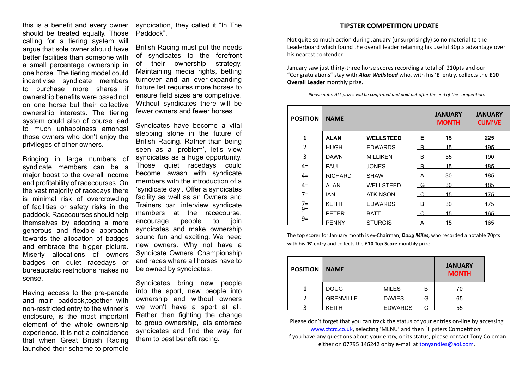this is a benefit and every owner should be treated equally. Those calling for a tiering system will argue that sole owner should have better facilities than someone with a small percentage ownership in one horse. The tiering model could incentivise syndicate members to purchase more shares if ownership benefits were based not on one horse but their collective ownership interests. The tiering system could also of course lead to much unhappiness amongst those owners who don't enjoy the privileges of other owners.

Bringing in large numbers of syndicate members can be a major boost to the overall income and profitability of racecourses. On the vast majority of racedays there is minimal risk of overcrowding of facilities or safety risks in the paddock. Racecourses should help themselves by adopting a more generous and flexible approach towards the allocation of badges and embrace the bigger picture. Miserly allocations of owners badges on quiet racedays or bureaucratic restrictions makes no sense.

Having access to the pre-parade and main paddock,together with non-restricted entry to the winner's enclosure, is the most important element of the whole ownership experience. It is not a coincidence that when Great British Racing launched their scheme to promote

syndication, they called it "In The Paddock".

British Racing must put the needs of syndicates to the forefront of their ownership strategy. Maintaining media rights, betting turnover and an ever-expanding fixture list requires more horses to ensure field sizes are competitive. Without syndicates there will be fewer owners and fewer horses.

Syndicates have become a vital stepping stone in the future of British Racing. Rather than being seen as a 'problem', let's view syndicates as a huge opportunity. Those quiet racedays could become awash with syndicate members with the introduction of a 'syndicate day'. Offer a syndicates facility as well as an Owners and Trainers bar, interview syndicate members at the racecourse,<br>encourage people to join encourage people to join syndicates and make ownership sound fun and exciting. We need new owners. Why not have a Syndicate Owners' Championship and races where all horses have to be owned by syndicates.

Syndicates bring new people into the sport, new people into ownership and without owners we won't have a sport at all. Rather than fighting the change to group ownership, lets embrace syndicates and find the way for them to best benefit racing.

#### **TIPSTER COMPETITION UPDATE**

Not quite so much action during January (unsurprisingly) so no material to the Leaderboard which found the overall leader retaining his useful 30pts advantage over his nearest contender.

January saw just thirty-three horse scores recording a total of 210pts and our "Congratulations" stay with *Alan Wellsteed* who, with his '**E**' entry, collects the **£10 Overall Leader** monthly prize.

*Please note: ALL prizes will be confirmed and paid out after the end of the competition.*

| <b>POSITION</b> | <b>NAME</b>                                                  |                  |   | <b>JANUARY</b><br><b>MONTH</b> | <b>JANUARY</b><br><b>CUM'VE</b> |
|-----------------|--------------------------------------------------------------|------------------|---|--------------------------------|---------------------------------|
| 1               | <b>ALAN</b>                                                  | <b>WELLSTEED</b> | Е | 15                             | 225                             |
| $\overline{2}$  | <b>HUGH</b>                                                  | <b>EDWARDS</b>   | B | 15                             | 195                             |
| 3               | <b>DAWN</b>                                                  | <b>MILLIKEN</b>  | B | 55                             | 190                             |
| $4=$            | <b>JONES</b><br><b>PAUL</b><br><b>RICHARD</b><br><b>SHAW</b> |                  | B | 15                             | 185                             |
| $4=$            |                                                              |                  | A | 30                             | 185                             |
| $4=$            | AI AN                                                        | <b>WELLSTEED</b> | G | 30                             | 185                             |
| $7=$            | IAN                                                          | <b>ATKINSON</b>  | C | 15                             | 175                             |
| $7 = 9 = 1$     | <b>KFITH</b>                                                 | <b>EDWARDS</b>   | B | 30                             | 175                             |
|                 | <b>PETER</b>                                                 | <b>BATT</b>      | C | 15                             | 165                             |
| $9=$            | <b>PENNY</b>                                                 | <b>STURGIS</b>   | А | 15                             | 165                             |

The top scorer for January month is ex-Chairman, *Doug Miles*, who recorded a notable 70pts with his '**B**' entry and collects the **£10 Top Score** monthly prize.

| <b>POSITION</b> | <b>NAME</b>      |                |   | <b>JANUARY</b><br><b>MONTH</b> |
|-----------------|------------------|----------------|---|--------------------------------|
|                 | <b>DOUG</b>      | <b>MILES</b>   | в | 70                             |
|                 | <b>GRENVILLE</b> | <b>DAVIES</b>  | G | 65                             |
|                 | KFITH            | <b>EDWARDS</b> |   | 55                             |

Please don't forget that you can track the status of your entries on-line by accessing www.ctcrc.co.uk, selecting 'MENU' and then 'Tipsters Competition'. If you have any questions about your entry, or its status, please contact Tony Coleman either on 07795 146242 or by e-mail at tonyandles@aol.com.